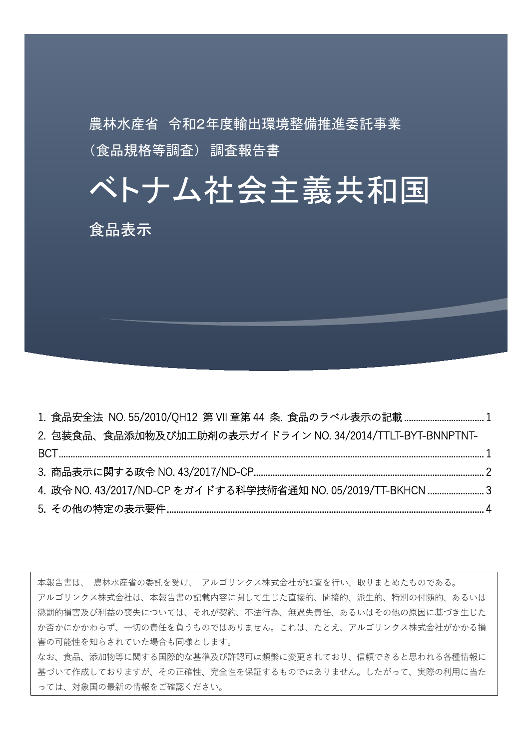農林水産省 令和2年度輸出環境整備推進委託事業 (食品規格等調査) 調査報告書

ベトナム社会主義共和国

食品表示

| 2. 包装食品、食品添加物及び加工助剤の表示ガイドライン NO. 34/2014/TTLT-BYT-BNNPTNT-   |  |
|--------------------------------------------------------------|--|
|                                                              |  |
|                                                              |  |
| 4. 政令 NO. 43/2017/ND-CP をガイドする科学技術省通知 NO. 05/2019/TT-BKHCN 3 |  |
|                                                              |  |

本報告書は、 農林水産省の委託を受け、 アルゴリンクス株式会社が調査を行い、取りまとめたものである。 アルゴリンクス株式会社は、本報告書の記載内容に関して生じた直接的、間接的、派生的、特別の付随的、あるいは 懲罰的損害及び利益の喪失については、それが契約、不法行為、無過失責任、あるいはその他の原因に基づき生じた か否かにかかわらず、一切の責任を負うものではありません。これは、たとえ、アルゴリンクス株式会社がかかる損 害の可能性を知らされていた場合も同様とします。 なお、食品、添加物等に関する国際的な基準及び許認可は頻繁に変更されており、信頼できると思われる各種情報に 基づいて作成しておりますが、その正確性、完全性を保証するものではありません。したがって、実際の利用に当た

っては、対象国の最新の情報をご確認ください。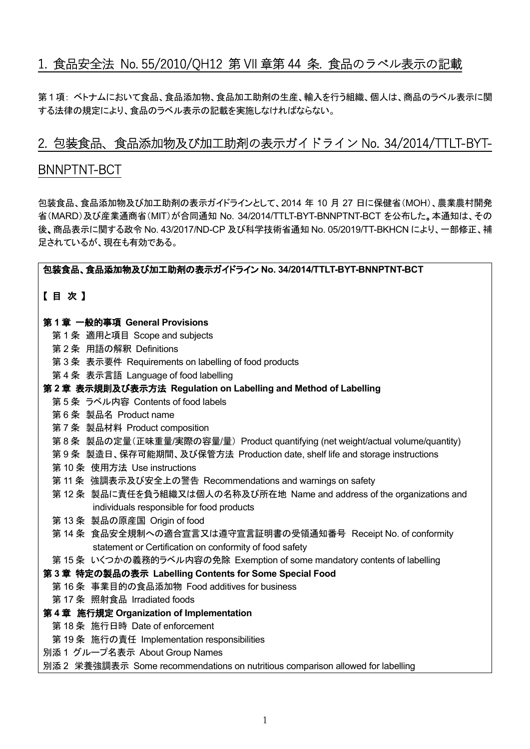# <span id="page-1-0"></span>1. 食品安全法 No. 55/2010/QH12 第 VII 章第 44 条. 食品のラベル表示の記載

第1 項: ベトナムにおいて食品、食品添加物、食品加工助剤の生産、輸入を行う組織、個人は、商品のラベル表示に関 する法律の規定により、食品のラベル表示の記載を実施しなければならない。

# <span id="page-1-1"></span>2. 包装食品、食品添加物及び加工助剤の表示ガイドライン No. 34/2014/TTLT-BYT-

# BNNPTNT-BCT

包装食品、食品添加物及び加工助剤の表示ガイドラインとして、2014 年 10 月 27 日に保健省(MOH)、農業農村開発 省(MARD)及び産業通商省(MIT)が合同通知 No. 34/2014/TTLT-BYT-BNNPTNT-BCT を公布した。本通知は、その 後、商品表示に関する政令 No. 43/2017/ND-CP 及び科学技術省通知 No. 05/2019/TT-BKHCN により、一部修正、補 足されているが、現在も有効である。

# 包装食品、食品添加物及び加工助剤の表示ガイドライン **No. 34/2014/TTLT-BYT-BNNPTNT-BCT**

# 【 目 次 】

#### 第 **1** 章 一般的事項 **General Provisions**

- 第 1 条 適用と項目 Scope and subjects
- 第 2 条 用語の解釈 Definitions
- 第 3 条 表示要件 Requirements on labelling of food products
- 第 4 条 表示言語 Language of food labelling
- 第 **2** 章 表示規則及び表示方法 **Regulation on Labelling and Method of Labelling**
	- 第 5 条 ラベル内容 Contents of food labels
	- 第 6 条 製品名 Product name
	- 第 7 条 製品材料 Product composition
	- 第 8 条 製品の定量(正味重量/実際の容量/量) Product quantifying (net weight/actual volume/quantity)
	- 第 9 条 製造日、保存可能期間、及び保管方法 Production date, shelf life and storage instructions
	- 第 10 条 使用方法 Use instructions
	- 第 11 条 強調表示及び安全上の警告 Recommendations and warnings on safety
	- 第 12 条 製品に責任を負う組織又は個人の名称及び所在地 Name and address of the organizations and individuals responsible for food products
	- 第 13 条 製品の原産国 Origin of food
	- 第 14 条 食品安全規制への適合宣言又は遵守宣言証明書の受領通知番号 Receipt No. of conformity statement or Certification on conformity of food safety
- 第 15 条 いくつかの義務的ラベル内容の免除 Exemption of some mandatory contents of labelling

#### 第 **3** 章 特定の製品の表示 **Labelling Contents for Some Special Food**

- 第 16 条 事業目的の食品添加物 Food additives for business
	- 第 17 条 照射食品 Irradiated foods

#### 第 **4** 章 施行規定 **Organization of Implementation**

- 第 18 条 施行日時 Date of enforcement
- 第 19 条 施行の責任 Implementation responsibilities
- 別添 1 グループ名表示 About Group Names

#### 別添 2 栄養強調表示 Some recommendations on nutritious comparison allowed for labelling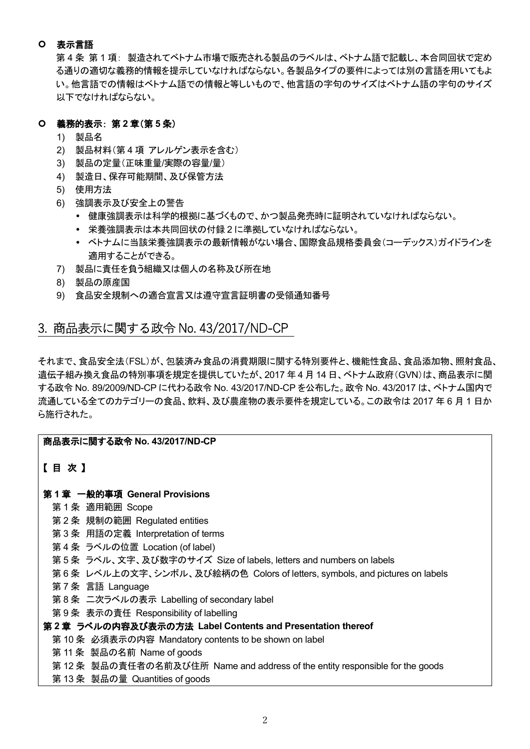# 表示言語

第 4 条 第 1 項: 製造されてベトナム市場で販売される製品のラベルは、ベトナム語で記載し、本合同回状で定め る通りの適切な義務的情報を提示していなければならない。各製品タイプの要件によっては別の言語を用いてもよ い。他言語での情報はベトナム語での情報と等しいもので、他言語の字句のサイズはベトナム語の字句のサイズ 以下でなければならない。

### 義務的表示: 第 **2** 章(第 **5** 条)

- 1) 製品名
- 2) 製品材料(第 4 項 アレルゲン表示を含む)
- 3) 製品の定量(正味重量/実際の容量/量)
- 4) 製造日、保存可能期間、及び保管方法
- 5) 使用方法
- 6) 強調表示及び安全上の警告
	- 健康強調表示は科学的根拠に基づくもので、かつ製品発売時に証明されていなければならない。
	- 栄養強調表示は本共同回状の付録 2 に準拠していなければならない。
	- ベトナムに当該栄養強調表示の最新情報がない場合、国際食品規格委員会(コーデックス)ガイドラインを 適用することができる。
- 7) 製品に責任を負う組織又は個人の名称及び所在地
- 8) 製品の原産国
- 9) 食品安全規制への適合宣言又は遵守宣言証明書の受領通知番号

# <span id="page-2-0"></span>3. 商品表示に関する政令 No. 43/2017/ND-CP

それまで、食品安全法(FSL)が、包装済み食品の消費期限に関する特別要件と、機能性食品、食品添加物、照射食品、 遺伝子組み換え食品の特別事項を規定を提供していたが、2017 年 4 月 14 日、ベトナム政府(GVN)は、商品表示に関 する政令 No. 89/2009/ND-CP に代わる政令 No. 43/2017/ND-CP を公布した。政令 No. 43/2017 は、ベトナム国内で 流通している全てのカテゴリーの食品、飲料、及び農産物の表示要件を規定している。この政令は 2017 年 6 月 1 日か ら施行された。

# 商品表示に関する政令 **No. 43/2017/ND-CP**

# 【 目 次 】

# 第 **1** 章 一般的事項 **General Provisions**

- 第 1 条 適用範囲 Scope
- 第 2 条 規制の範囲 Regulated entities
- 第 3 条 用語の定義 Interpretation of terms
- 第 4 条 ラベルの位置 Location (of label)
- 第 5 条 ラベル、文字、及び数字のサイズ Size of labels, letters and numbers on labels
- 第 6 条 レベル上の文字、シンボル、及び絵柄の色 Colors of letters, symbols, and pictures on labels
- 第 7 条 言語 Language
- 第 8 条 二次ラベルの表示 Labelling of secondary label
- 第 9 条 表示の責任 Responsibility of labelling

# 第 **2** 章 ラベルの内容及び表示の方法 **Label Contents and Presentation thereof**

- 第 10 条 必須表示の内容 Mandatory contents to be shown on label
- 第 11 条 製品の名前 Name of goods
- 第 12 条 製品の責任者の名前及び住所 Name and address of the entity responsible for the goods
- 第 13 条 製品の量 Quantities of goods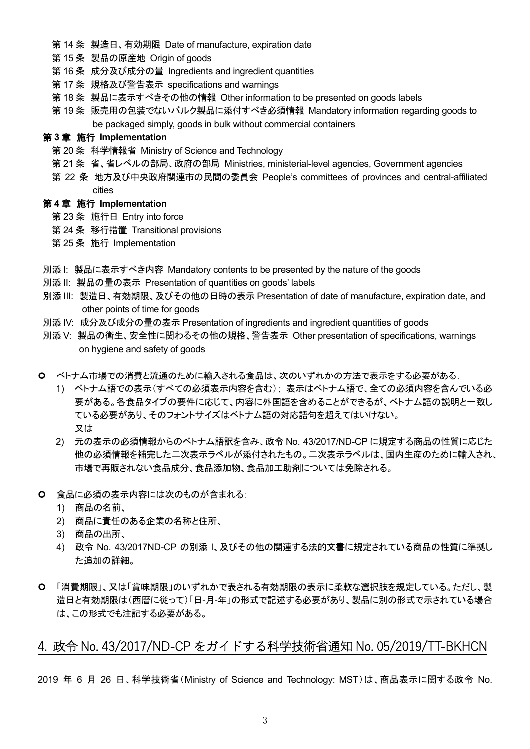- 第 14 条 製造日、有効期限 Date of manufacture, expiration date
- 第 15 条 製品の原産地 Origin of goods
- 第 16 条 成分及び成分の量 Ingredients and ingredient quantities
- 第 17 条 規格及び警告表示 specifications and warnings
- 第 18 条 製品に表示すべきその他の情報 Other information to be presented on goods labels
- 第 19 条 販売用の包装でないバルク製品に添付すべき必須情報 Mandatory information regarding goods to be packaged simply, goods in bulk without commercial containers

# 第 **3** 章 施行 **Implementation**

- 第 20 条 科学情報省 Ministry of Science and Technology
- 第 21 条 省、省レベルの部局、政府の部局 Ministries, ministerial-level agencies, Government agencies
- 第 22 条 地方及び中央政府関連市の民間の委員会 People's committees of provinces and central-affiliated cities

### 第 **4** 章 施行 **Implementation**

- 第 23 条 施行日 Entry into force
- 第 24 条 移行措置 Transitional provisions
- 第 25 条 施行 Implementation
- 別添 I: 製品に表示すべき内容 Mandatory contents to be presented by the nature of the goods
- 別添 II: 製品の量の表示 Presentation of quantities on goods' labels
- 別添 III: 製造日、有効期限、及びその他の日時の表示 Presentation of date of manufacture, expiration date, and other points of time for goods
- 別添 IV: 成分及び成分の量の表示 Presentation of ingredients and ingredient quantities of goods
- 別添 V: 製品の衛生、安全性に関わるその他の規格、警告表示 Other presentation of specifications, warnings on hygiene and safety of goods
- ベトナム市場での消費と流通のために輸入される食品は、次のいずれかの方法で表示をする必要がある:
	- 1) ベトナム語での表示(すべての必須表示内容を含む); 表示はベトナム語で、全ての必須内容を含んでいる必 要がある。各食品タイプの要件に応じて、内容に外国語を含めることができるが、ベトナム語の説明と一致し ている必要があり、そのフォントサイズはベトナム語の対応語句を超えてはいけない。 又は
	- 2) 元の表示の必須情報からのベトナム語訳を含み、政令 No. 43/2017/ND-CP に規定する商品の性質に応じた 他の必須情報を補完した二次表示ラベルが添付されたもの。二次表示ラベルは、国内生産のために輸入され、 市場で再販されない食品成分、食品添加物、食品加工助剤については免除される。
- 食品に必須の表示内容には次のものが含まれる:
	- 1) 商品の名前、
	- 2) 商品に責任のある企業の名称と住所、
	- 3) 商品の出所、
	- 4) 政令 No. 43/2017ND-CP の別添 I、及びその他の関連する法的文書に規定されている商品の性質に準拠し た追加の詳細。
- 「消費期限」、又は「賞味期限」のいずれかで表される有効期限の表示に柔軟な選択肢を規定している。ただし、製 造日と有効期限は(西暦に従って)「日-月-年」の形式で記述する必要があり、製品に別の形式で示されている場合 は、この形式でも注記する必要がある。

# <span id="page-3-0"></span>4. 政令 No. 43/2017/ND-CP をガイドする科学技術省通知 No. 05/2019/TT-BKHCN

2019 年 6 月 26 日、科学技術省(Ministry of Science and Technology: MST)は、商品表示に関する政令 No.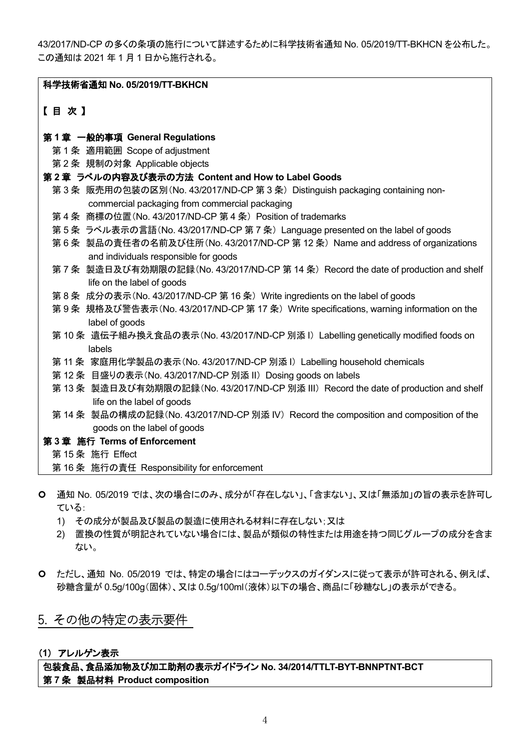43/2017/ND-CP の多くの条項の施行について詳述するために科学技術省通知 No. 05/2019/TT-BKHCN を公布した。 この通知は 2021 年 1 月 1 日から施行される。

| 【目次】<br>第1章 一般的事項 General Regulations<br>第1条 適用範囲 Scope of adjustment<br>第2条 規制の対象 Applicable objects<br>第2章 ラベルの内容及び表示の方法 Content and How to Label Goods<br>第3条 販売用の包装の区別(No. 43/2017/ND-CP 第3条) Distinguish packaging containing non-<br>commercial packaging from commercial packaging<br>第4条 商標の位置(No. 43/2017/ND-CP 第4条) Position of trademarks<br>第5条 ラベル表示の言語(No. 43/2017/ND-CP 第7条) Language presented on the label of goods<br>第6条 製品の責任者の名前及び住所(No. 43/2017/ND-CP 第12条) Name and address of organizations<br>and individuals responsible for goods<br>第7条 製造日及び有効期限の記録(No. 43/2017/ND-CP 第 14 条) Record the date of production and shelf<br>life on the label of goods<br>第8条 成分の表示(No. 43/2017/ND-CP 第16条) Write ingredients on the label of goods<br>第9条 規格及び警告表示(No. 43/2017/ND-CP 第 17 条) Write specifications, warning information on the<br>label of goods<br>第10条 遺伝子組み換え食品の表示(No. 43/2017/ND-CP 別添 I) Labelling genetically modified foods on<br>labels |
|---------------------------------------------------------------------------------------------------------------------------------------------------------------------------------------------------------------------------------------------------------------------------------------------------------------------------------------------------------------------------------------------------------------------------------------------------------------------------------------------------------------------------------------------------------------------------------------------------------------------------------------------------------------------------------------------------------------------------------------------------------------------------------------------------------------------------------------------------------------------------------------------------------------------------------------------------------------------------|
|                                                                                                                                                                                                                                                                                                                                                                                                                                                                                                                                                                                                                                                                                                                                                                                                                                                                                                                                                                           |
|                                                                                                                                                                                                                                                                                                                                                                                                                                                                                                                                                                                                                                                                                                                                                                                                                                                                                                                                                                           |
|                                                                                                                                                                                                                                                                                                                                                                                                                                                                                                                                                                                                                                                                                                                                                                                                                                                                                                                                                                           |
|                                                                                                                                                                                                                                                                                                                                                                                                                                                                                                                                                                                                                                                                                                                                                                                                                                                                                                                                                                           |
|                                                                                                                                                                                                                                                                                                                                                                                                                                                                                                                                                                                                                                                                                                                                                                                                                                                                                                                                                                           |
|                                                                                                                                                                                                                                                                                                                                                                                                                                                                                                                                                                                                                                                                                                                                                                                                                                                                                                                                                                           |
|                                                                                                                                                                                                                                                                                                                                                                                                                                                                                                                                                                                                                                                                                                                                                                                                                                                                                                                                                                           |
|                                                                                                                                                                                                                                                                                                                                                                                                                                                                                                                                                                                                                                                                                                                                                                                                                                                                                                                                                                           |
|                                                                                                                                                                                                                                                                                                                                                                                                                                                                                                                                                                                                                                                                                                                                                                                                                                                                                                                                                                           |
|                                                                                                                                                                                                                                                                                                                                                                                                                                                                                                                                                                                                                                                                                                                                                                                                                                                                                                                                                                           |
|                                                                                                                                                                                                                                                                                                                                                                                                                                                                                                                                                                                                                                                                                                                                                                                                                                                                                                                                                                           |
|                                                                                                                                                                                                                                                                                                                                                                                                                                                                                                                                                                                                                                                                                                                                                                                                                                                                                                                                                                           |
|                                                                                                                                                                                                                                                                                                                                                                                                                                                                                                                                                                                                                                                                                                                                                                                                                                                                                                                                                                           |
|                                                                                                                                                                                                                                                                                                                                                                                                                                                                                                                                                                                                                                                                                                                                                                                                                                                                                                                                                                           |
|                                                                                                                                                                                                                                                                                                                                                                                                                                                                                                                                                                                                                                                                                                                                                                                                                                                                                                                                                                           |
|                                                                                                                                                                                                                                                                                                                                                                                                                                                                                                                                                                                                                                                                                                                                                                                                                                                                                                                                                                           |
|                                                                                                                                                                                                                                                                                                                                                                                                                                                                                                                                                                                                                                                                                                                                                                                                                                                                                                                                                                           |
|                                                                                                                                                                                                                                                                                                                                                                                                                                                                                                                                                                                                                                                                                                                                                                                                                                                                                                                                                                           |
|                                                                                                                                                                                                                                                                                                                                                                                                                                                                                                                                                                                                                                                                                                                                                                                                                                                                                                                                                                           |
| 第 11 条 家庭用化学製品の表示(No. 43/2017/ND-CP 別添 I) Labelling household chemicals                                                                                                                                                                                                                                                                                                                                                                                                                                                                                                                                                                                                                                                                                                                                                                                                                                                                                                   |
| 第12条 目盛りの表示(No. 43/2017/ND-CP 別添 II) Dosing goods on labels                                                                                                                                                                                                                                                                                                                                                                                                                                                                                                                                                                                                                                                                                                                                                                                                                                                                                                               |
| 第 13 条 製造日及び有効期限の記録(No. 43/2017/ND-CP 別添 III) Record the date of production and shelf                                                                                                                                                                                                                                                                                                                                                                                                                                                                                                                                                                                                                                                                                                                                                                                                                                                                                     |
| life on the label of goods                                                                                                                                                                                                                                                                                                                                                                                                                                                                                                                                                                                                                                                                                                                                                                                                                                                                                                                                                |
| 第 14 条 製品の構成の記録(No. 43/2017/ND-CP 別添 IV) Record the composition and composition of the                                                                                                                                                                                                                                                                                                                                                                                                                                                                                                                                                                                                                                                                                                                                                                                                                                                                                    |
| goods on the label of goods                                                                                                                                                                                                                                                                                                                                                                                                                                                                                                                                                                                                                                                                                                                                                                                                                                                                                                                                               |
| 第3章 施行 Terms of Enforcement                                                                                                                                                                                                                                                                                                                                                                                                                                                                                                                                                                                                                                                                                                                                                                                                                                                                                                                                               |
| 第15条 施行 Effect                                                                                                                                                                                                                                                                                                                                                                                                                                                                                                                                                                                                                                                                                                                                                                                                                                                                                                                                                            |
| 第16条 施行の責任 Responsibility for enforcement                                                                                                                                                                                                                                                                                                                                                                                                                                                                                                                                                                                                                                                                                                                                                                                                                                                                                                                                 |

- 通知 No. 05/2019 では、次の場合にのみ、成分が「存在しない」、「含まない」、又は「無添加」の旨の表示を許可し ている:
	- 1) その成分が製品及び製品の製造に使用される材料に存在しない;又は
	- 2) 置換の性質が明記されていない場合には、製品が類似の特性または用途を持つ同じグループの成分を含ま ない。
- ただし、通知 No. 05/2019 では、特定の場合にはコーデックスのガイダンスに従って表示が許可される、例えば、 砂糖含量が 0.5g/100g(固体)、又は 0.5g/100ml(液体)以下の場合、商品に「砂糖なし」の表示ができる。

# <span id="page-4-0"></span>5. その他の特定の表示要件

# (**1**) アレルゲン表示

包装食品、食品添加物及び加工助剤の表示ガイドライン **No. 34/2014/TTLT-BYT-BNNPTNT-BCT** 第 **7** 条 製品材料 **Product composition**